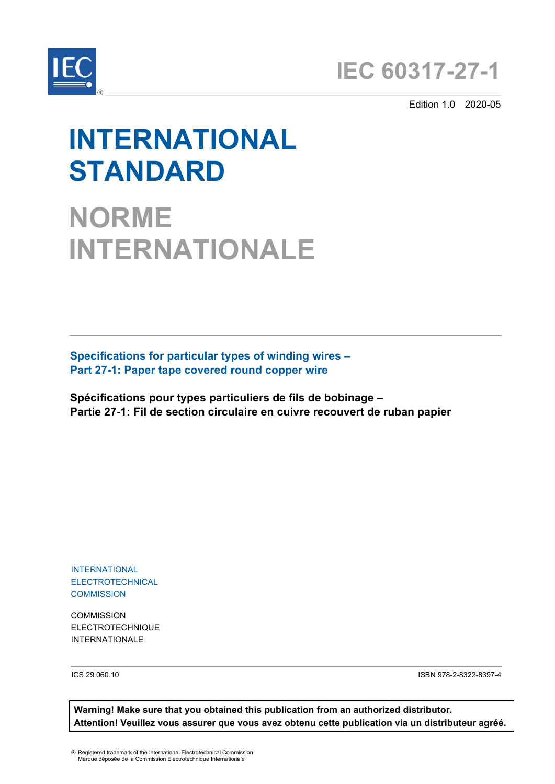



Edition 1.0 2020-05

# **INTERNATIONAL STANDARD**

# **NORME INTERNATIONALE**

**Specifications for particular types of winding wires – Part 27-1: Paper tape covered round copper wire**

**Spécifications pour types particuliers de fils de bobinage – Partie 27-1: Fil de section circulaire en cuivre recouvert de ruban papier**

INTERNATIONAL ELECTROTECHNICAL **COMMISSION** 

**COMMISSION** ELECTROTECHNIQUE INTERNATIONALE

ICS 29.060.10 ISBN 978-2-8322-8397-4

**Warning! Make sure that you obtained this publication from an authorized distributor. Attention! Veuillez vous assurer que vous avez obtenu cette publication via un distributeur agréé.**

® Registered trademark of the International Electrotechnical Commission Marque déposée de la Commission Electrotechnique Internationale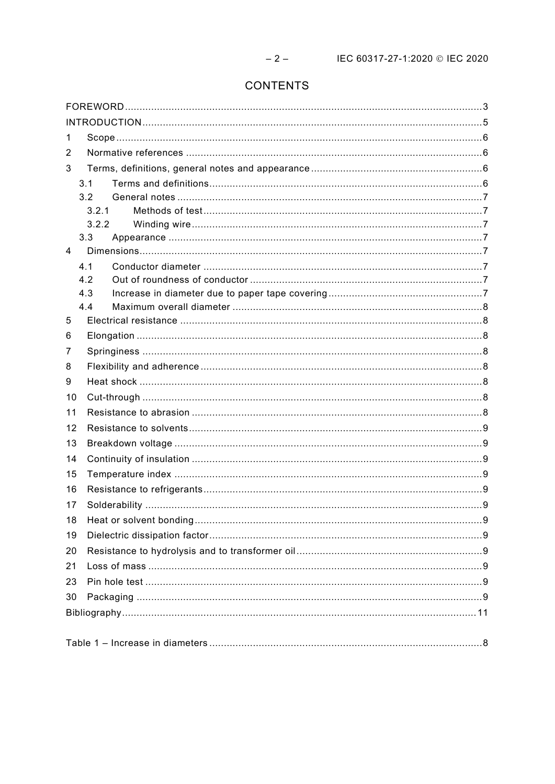# CONTENTS

| 1              |       |  |  |
|----------------|-------|--|--|
| 2              |       |  |  |
| 3              |       |  |  |
|                | 3.1   |  |  |
|                | 3.2   |  |  |
|                | 3.2.1 |  |  |
|                | 3.2.2 |  |  |
|                | 3.3   |  |  |
| $\overline{4}$ |       |  |  |
|                | 4.1   |  |  |
|                | 4.2   |  |  |
|                | 4.3   |  |  |
|                | 4.4   |  |  |
| 5              |       |  |  |
| 6              |       |  |  |
| 7              |       |  |  |
| 8              |       |  |  |
| 9              |       |  |  |
| 10             |       |  |  |
| 11             |       |  |  |
| 12             |       |  |  |
| 13             |       |  |  |
| 14             |       |  |  |
| 15             |       |  |  |
| 16             |       |  |  |
| 17             |       |  |  |
| 18             |       |  |  |
| 19             |       |  |  |
| 20             |       |  |  |
| 21             |       |  |  |
| 23             |       |  |  |
| 30             |       |  |  |
|                |       |  |  |
|                |       |  |  |
|                |       |  |  |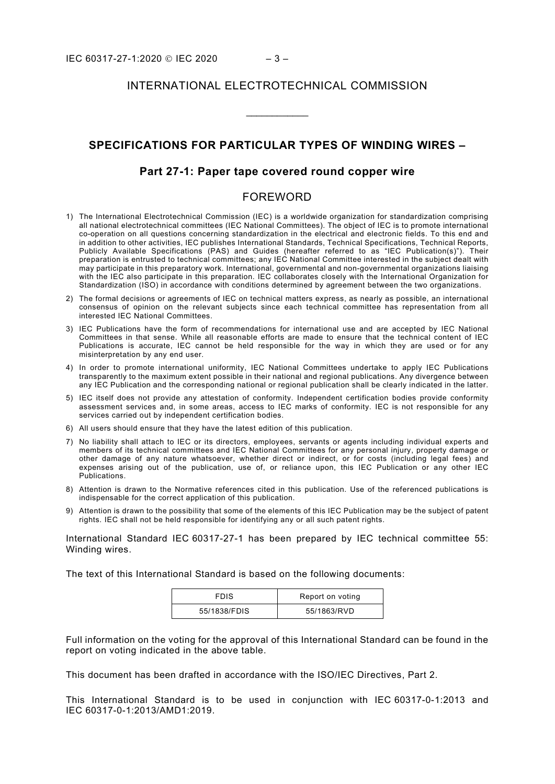## INTERNATIONAL ELECTROTECHNICAL COMMISSION

\_\_\_\_\_\_\_\_\_\_\_\_

## **SPECIFICATIONS FOR PARTICULAR TYPES OF WINDING WIRES –**

### **Part 27-1: Paper tape covered round copper wire**

## FOREWORD

- <span id="page-2-0"></span>1) The International Electrotechnical Commission (IEC) is a worldwide organization for standardization comprising all national electrotechnical committees (IEC National Committees). The object of IEC is to promote international co-operation on all questions concerning standardization in the electrical and electronic fields. To this end and in addition to other activities, IEC publishes International Standards, Technical Specifications, Technical Reports, Publicly Available Specifications (PAS) and Guides (hereafter referred to as "IEC Publication(s)"). Their preparation is entrusted to technical committees; any IEC National Committee interested in the subject dealt with may participate in this preparatory work. International, governmental and non-governmental organizations liaising with the IEC also participate in this preparation. IEC collaborates closely with the International Organization for Standardization (ISO) in accordance with conditions determined by agreement between the two organizations.
- 2) The formal decisions or agreements of IEC on technical matters express, as nearly as possible, an international consensus of opinion on the relevant subjects since each technical committee has representation from all interested IEC National Committees.
- 3) IEC Publications have the form of recommendations for international use and are accepted by IEC National Committees in that sense. While all reasonable efforts are made to ensure that the technical content of IEC Publications is accurate, IEC cannot be held responsible for the way in which they are used or for any misinterpretation by any end user.
- 4) In order to promote international uniformity, IEC National Committees undertake to apply IEC Publications transparently to the maximum extent possible in their national and regional publications. Any divergence between any IEC Publication and the corresponding national or regional publication shall be clearly indicated in the latter.
- 5) IEC itself does not provide any attestation of conformity. Independent certification bodies provide conformity assessment services and, in some areas, access to IEC marks of conformity. IEC is not responsible for any services carried out by independent certification bodies.
- 6) All users should ensure that they have the latest edition of this publication.
- 7) No liability shall attach to IEC or its directors, employees, servants or agents including individual experts and members of its technical committees and IEC National Committees for any personal injury, property damage or other damage of any nature whatsoever, whether direct or indirect, or for costs (including legal fees) and expenses arising out of the publication, use of, or reliance upon, this IEC Publication or any other IEC Publications.
- 8) Attention is drawn to the Normative references cited in this publication. Use of the referenced publications is indispensable for the correct application of this publication.
- 9) Attention is drawn to the possibility that some of the elements of this IEC Publication may be the subject of patent rights. IEC shall not be held responsible for identifying any or all such patent rights.

International Standard IEC 60317-27-1 has been prepared by IEC technical committee 55: Winding wires.

The text of this International Standard is based on the following documents:

| FDIS         | Report on voting |
|--------------|------------------|
| 55/1838/FDIS | 55/1863/RVD      |

Full information on the voting for the approval of this International Standard can be found in the report on voting indicated in the above table.

This document has been drafted in accordance with the ISO/IEC Directives, Part 2.

This International Standard is to be used in conjunction with IEC 60317-0-1:2013 and IEC 60317-0-1:2013/AMD1:2019.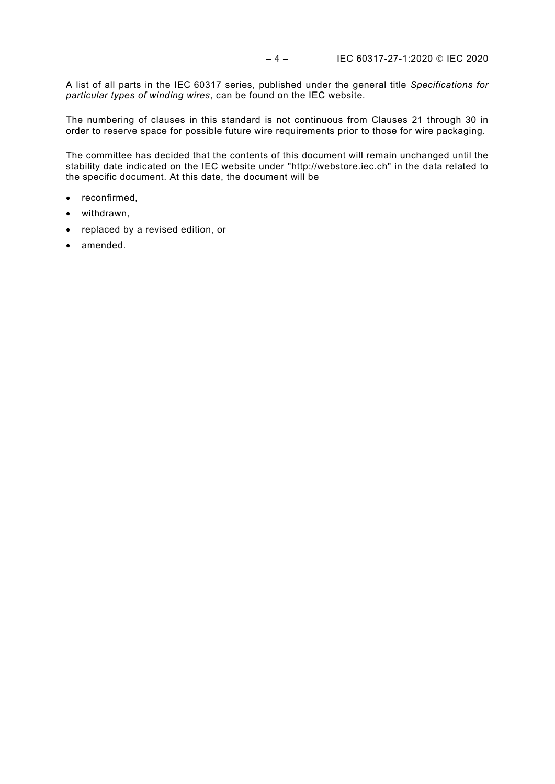A list of all parts in the IEC 60317 series, published under the general title *Specifications for particular types of winding wires*, can be found on the IEC website.

The numbering of clauses in this standard is not continuous from Clauses 21 through 30 in order to reserve space for possible future wire requirements prior to those for wire packaging.

The committee has decided that the contents of this document will remain unchanged until the stability date indicated on the IEC website under "http://webstore.iec.ch" in the data related to the specific document. At this date, the document will be

- reconfirmed,
- withdrawn,
- replaced by a revised edition, or
- amended.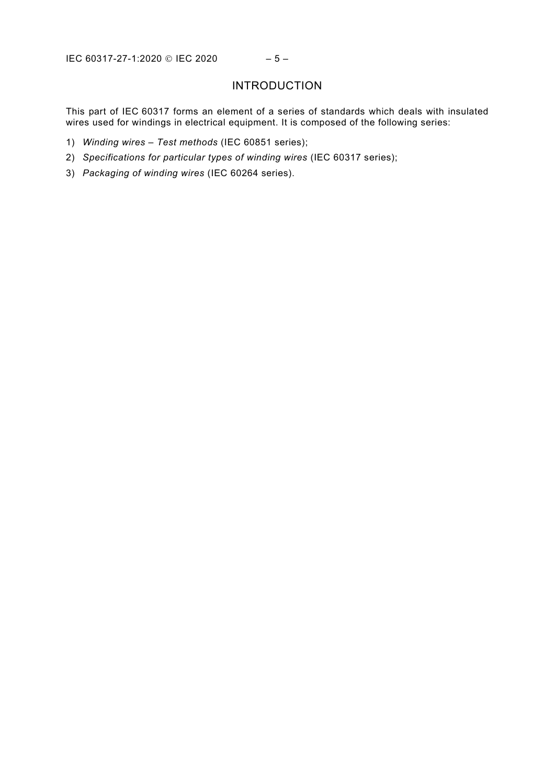# INTRODUCTION

<span id="page-4-0"></span>This part of IEC 60317 forms an element of a series of standards which deals with insulated wires used for windings in electrical equipment. It is composed of the following series:

- 1) *Winding wires Test methods* (IEC 60851 series);
- 2) *Specifications for particular types of winding wires* (IEC 60317 series);
- 3) *Packaging of winding wires* (IEC 60264 series).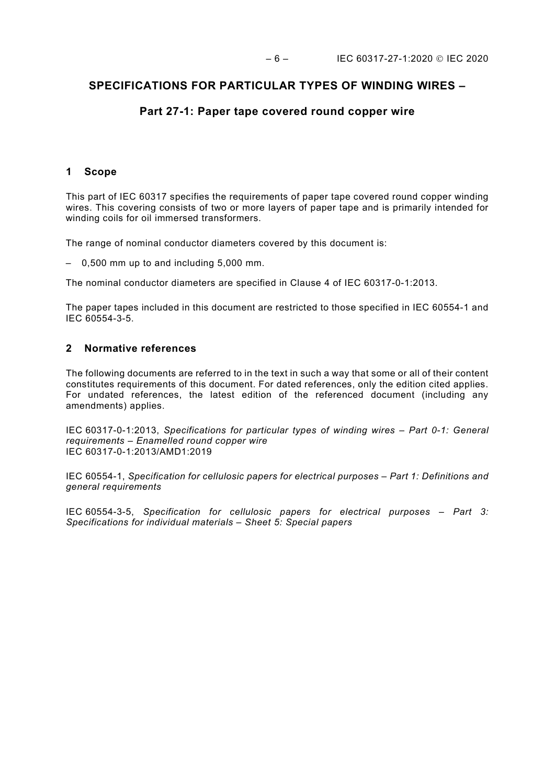## **SPECIFICATIONS FOR PARTICULAR TYPES OF WINDING WIRES –**

## **Part 27-1: Paper tape covered round copper wire**

### <span id="page-5-0"></span>**1 Scope**

This part of IEC 60317 specifies the requirements of paper tape covered round copper winding wires. This covering consists of two or more layers of paper tape and is primarily intended for winding coils for oil immersed transformers.

The range of nominal conductor diameters covered by this document is:

– 0,500 mm up to and including 5,000 mm.

The nominal conductor diameters are specified in Clause 4 of IEC 60317-0-1:2013.

The paper tapes included in this document are restricted to those specified in IEC 60554-1 and IEC 60554-3-5.

### <span id="page-5-1"></span>**2 Normative references**

The following documents are referred to in the text in such a way that some or all of their content constitutes requirements of this document. For dated references, only the edition cited applies. For undated references, the latest edition of the referenced document (including any amendments) applies.

IEC 60317-0-1:2013, *Specifications for particular types of winding wires – Part 0-1: General requirements – Enamelled round copper wire*  IEC 60317-0-1:2013/AMD1:2019

IEC 60554-1, *Specification for cellulosic papers for electrical purposes – Part 1: Definitions and general requirements*

<span id="page-5-3"></span><span id="page-5-2"></span>IEC 60554-3-5, *Specification for cellulosic papers for electrical purposes – Part 3: Specifications for individual materials – Sheet 5: Special papers*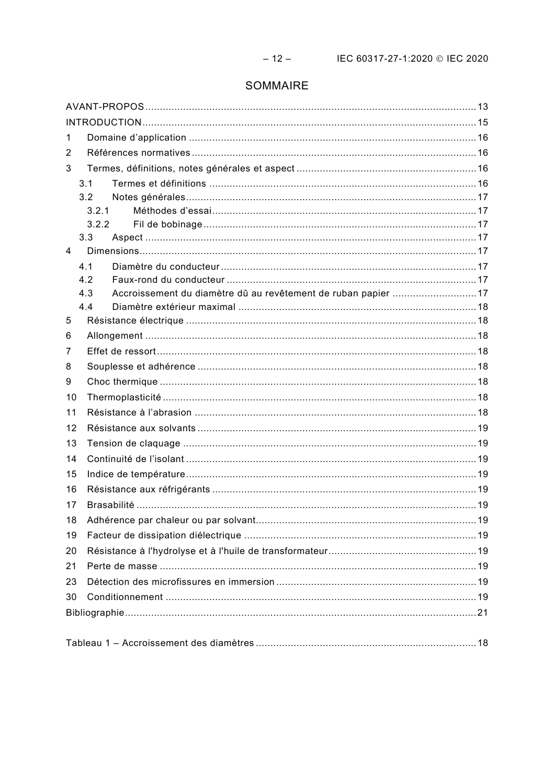# SOMMAIRE

| 1  |                                                                             |  |  |  |
|----|-----------------------------------------------------------------------------|--|--|--|
| 2  |                                                                             |  |  |  |
| 3  |                                                                             |  |  |  |
|    | 3.1                                                                         |  |  |  |
|    | 3.2                                                                         |  |  |  |
|    | 3.2.1                                                                       |  |  |  |
|    | 3.2.2                                                                       |  |  |  |
|    | 3.3                                                                         |  |  |  |
| 4  |                                                                             |  |  |  |
|    | 4.1                                                                         |  |  |  |
|    | 4.2                                                                         |  |  |  |
|    | Accroissement du diamètre dû au revêtement de ruban papier 17<br>4.3<br>4.4 |  |  |  |
| 5  |                                                                             |  |  |  |
|    |                                                                             |  |  |  |
| 6  |                                                                             |  |  |  |
| 7  |                                                                             |  |  |  |
| 8  |                                                                             |  |  |  |
| 9  |                                                                             |  |  |  |
| 10 |                                                                             |  |  |  |
| 11 |                                                                             |  |  |  |
| 12 |                                                                             |  |  |  |
| 13 |                                                                             |  |  |  |
| 14 |                                                                             |  |  |  |
| 15 |                                                                             |  |  |  |
| 16 |                                                                             |  |  |  |
| 17 |                                                                             |  |  |  |
|    |                                                                             |  |  |  |
| 19 |                                                                             |  |  |  |
| 20 |                                                                             |  |  |  |
| 21 |                                                                             |  |  |  |
| 23 |                                                                             |  |  |  |
| 30 |                                                                             |  |  |  |
|    |                                                                             |  |  |  |
|    |                                                                             |  |  |  |
|    |                                                                             |  |  |  |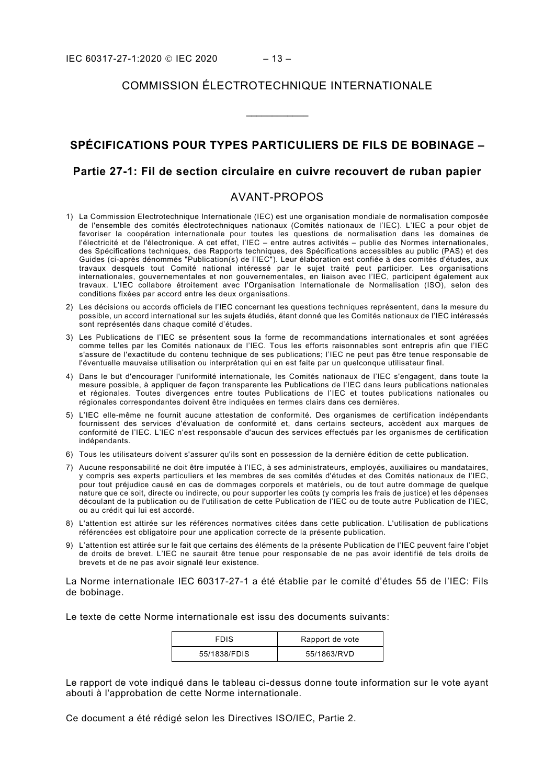## COMMISSION ÉLECTROTECHNIQUE INTERNATIONALE

\_\_\_\_\_\_\_\_\_\_\_\_

# **SPÉCIFICATIONS POUR TYPES PARTICULIERS DE FILS DE BOBINAGE –**

## **Partie 27-1: Fil de section circulaire en cuivre recouvert de ruban papier**

## AVANT-PROPOS

- <span id="page-7-0"></span>1) La Commission Electrotechnique Internationale (IEC) est une organisation mondiale de normalisation composée de l'ensemble des comités électrotechniques nationaux (Comités nationaux de l'IEC). L'IEC a pour objet de favoriser la coopération internationale pour toutes les questions de normalisation dans les domaines de l'électricité et de l'électronique. A cet effet, l'IEC – entre autres activités – publie des Normes internationales, des Spécifications techniques, des Rapports techniques, des Spécifications accessibles au public (PAS) et des Guides (ci-après dénommés "Publication(s) de l'IEC"). Leur élaboration est confiée à des comités d'études, aux travaux desquels tout Comité national intéressé par le sujet traité peut participer. Les organisations internationales, gouvernementales et non gouvernementales, en liaison avec l'IEC, participent également aux travaux. L'IEC collabore étroitement avec l'Organisation Internationale de Normalisation (ISO), selon des conditions fixées par accord entre les deux organisations.
- 2) Les décisions ou accords officiels de l'IEC concernant les questions techniques représentent, dans la mesure du possible, un accord international sur les sujets étudiés, étant donné que les Comités nationaux de l'IEC intéressés sont représentés dans chaque comité d'études.
- 3) Les Publications de l'IEC se présentent sous la forme de recommandations internationales et sont agréées comme telles par les Comités nationaux de l'IEC. Tous les efforts raisonnables sont entrepris afin que l'IEC s'assure de l'exactitude du contenu technique de ses publications; l'IEC ne peut pas être tenue responsable de l'éventuelle mauvaise utilisation ou interprétation qui en est faite par un quelconque utilisateur final.
- 4) Dans le but d'encourager l'uniformité internationale, les Comités nationaux de l'IEC s'engagent, dans toute la mesure possible, à appliquer de façon transparente les Publications de l'IEC dans leurs publications nationales et régionales. Toutes divergences entre toutes Publications de l'IEC et toutes publications nationales ou régionales correspondantes doivent être indiquées en termes clairs dans ces dernières.
- 5) L'IEC elle-même ne fournit aucune attestation de conformité. Des organismes de certification indépendants fournissent des services d'évaluation de conformité et, dans certains secteurs, accèdent aux marques de conformité de l'IEC. L'IEC n'est responsable d'aucun des services effectués par les organismes de certification indépendants.
- 6) Tous les utilisateurs doivent s'assurer qu'ils sont en possession de la dernière édition de cette publication.
- 7) Aucune responsabilité ne doit être imputée à l'IEC, à ses administrateurs, employés, auxiliaires ou mandataires, y compris ses experts particuliers et les membres de ses comités d'études et des Comités nationaux de l'IEC, pour tout préjudice causé en cas de dommages corporels et matériels, ou de tout autre dommage de quelque nature que ce soit, directe ou indirecte, ou pour supporter les coûts (y compris les frais de justice) et les dépenses découlant de la publication ou de l'utilisation de cette Publication de l'IEC ou de toute autre Publication de l'IEC, ou au crédit qui lui est accordé.
- 8) L'attention est attirée sur les références normatives citées dans cette publication. L'utilisation de publications référencées est obligatoire pour une application correcte de la présente publication.
- 9) L'attention est attirée sur le fait que certains des éléments de la présente Publication de l'IEC peuvent faire l'objet de droits de brevet. L'IEC ne saurait être tenue pour responsable de ne pas avoir identifié de tels droits de brevets et de ne pas avoir signalé leur existence.

La Norme internationale IEC 60317-27-1 a été établie par le comité d'études 55 de l'IEC: Fils de bobinage.

Le texte de cette Norme internationale est issu des documents suivants:

| <b>FDIS</b>  | Rapport de vote |
|--------------|-----------------|
| 55/1838/FDIS | 55/1863/RVD     |

Le rapport de vote indiqué dans le tableau ci-dessus donne toute information sur le vote ayant abouti à l'approbation de cette Norme internationale.

Ce document a été rédigé selon les Directives ISO/IEC, Partie 2.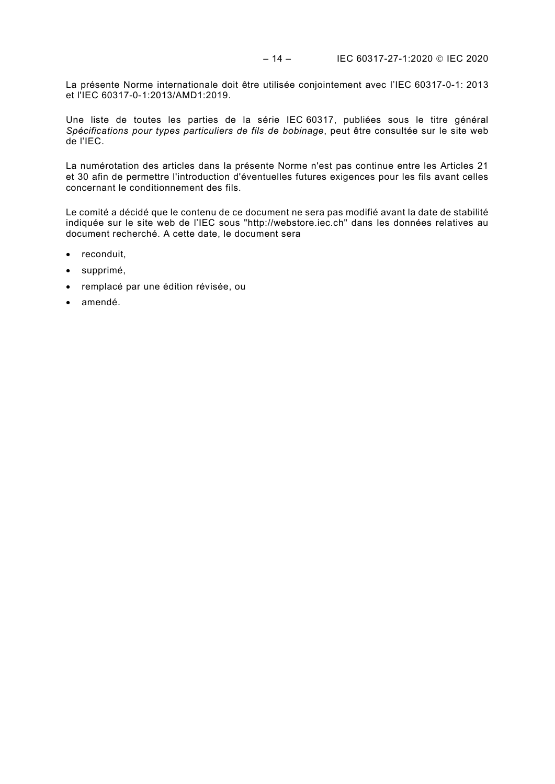La présente Norme internationale doit être utilisée conjointement avec l'IEC 60317-0-1: 2013 et l'IEC 60317-0-1:2013/AMD1:2019.

Une liste de toutes les parties de la série IEC 60317, publiées sous le titre général *Spécifications pour types particuliers de fils de bobinage*, peut être consultée sur le site web de l'IEC.

La numérotation des articles dans la présente Norme n'est pas continue entre les Articles 21 et 30 afin de permettre l'introduction d'éventuelles futures exigences pour les fils avant celles concernant le conditionnement des fils.

Le comité a décidé que le contenu de ce document ne sera pas modifié avant la date de stabilité indiquée sur le site web de l'IEC sous "http://webstore.iec.ch" dans les données relatives au document recherché. A cette date, le document sera

- reconduit,
- supprimé,
- remplacé par une édition révisée, ou
- amendé.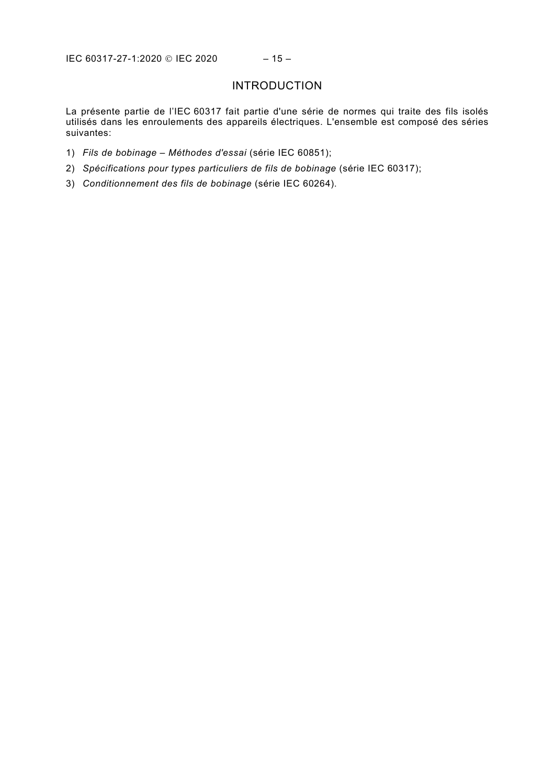# INTRODUCTION

<span id="page-9-0"></span>La présente partie de l'IEC 60317 fait partie d'une série de normes qui traite des fils isolés utilisés dans les enroulements des appareils électriques. L'ensemble est composé des séries suivantes:

- 1) *Fils de bobinage Méthodes d'essai* (série IEC 60851);
- 2) *Spécifications pour types particuliers de fils de bobinage* (série IEC 60317);
- 3) *Conditionnement des fils de bobinage* (série IEC 60264).